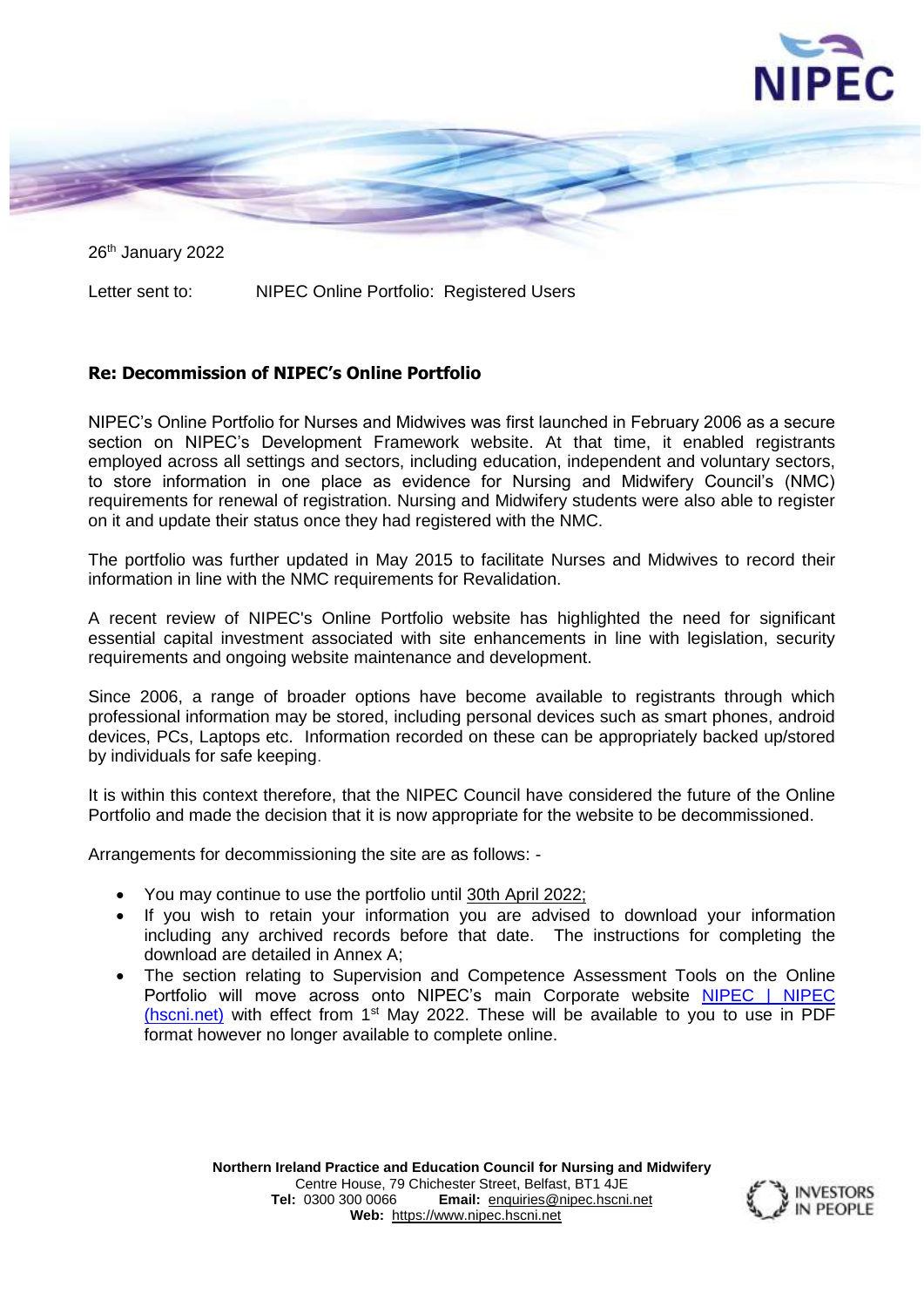

26<sup>th</sup> January 2022

Letter sent to: NIPEC Online Portfolio: Registered Users

### **Re: Decommission of NIPEC's Online Portfolio**

NIPEC's Online Portfolio for Nurses and Midwives was first launched in February 2006 as a secure section on NIPEC's Development Framework website. At that time, it enabled registrants employed across all settings and sectors, including education, independent and voluntary sectors, to store information in one place as evidence for Nursing and Midwifery Council's (NMC) requirements for renewal of registration. Nursing and Midwifery students were also able to register on it and update their status once they had registered with the NMC.

The portfolio was further updated in May 2015 to facilitate Nurses and Midwives to record their information in line with the NMC requirements for Revalidation.

A recent review of NIPEC's Online Portfolio website has highlighted the need for significant essential capital investment associated with site enhancements in line with legislation, security requirements and ongoing website maintenance and development.

Since 2006, a range of broader options have become available to registrants through which professional information may be stored, including personal devices such as smart phones, android devices, PCs, Laptops etc. Information recorded on these can be appropriately backed up/stored by individuals for safe keeping.

It is within this context therefore, that the NIPEC Council have considered the future of the Online Portfolio and made the decision that it is now appropriate for the website to be decommissioned.

Arrangements for decommissioning the site are as follows: -

- You may continue to use the portfolio until 30th April 2022;
- If you wish to retain your information you are advised to download your information including any archived records before that date. The instructions for completing the download are detailed in Annex A;
- The section relating to Supervision and Competence Assessment Tools on the Online Portfolio will move across onto NIPEC's main Corporate website [NIPEC | NIPEC](https://nipec.hscni.net/)  [\(hscni.net\)](https://nipec.hscni.net/) with effect from 1st May 2022. These will be available to you to use in PDF format however no longer available to complete online.

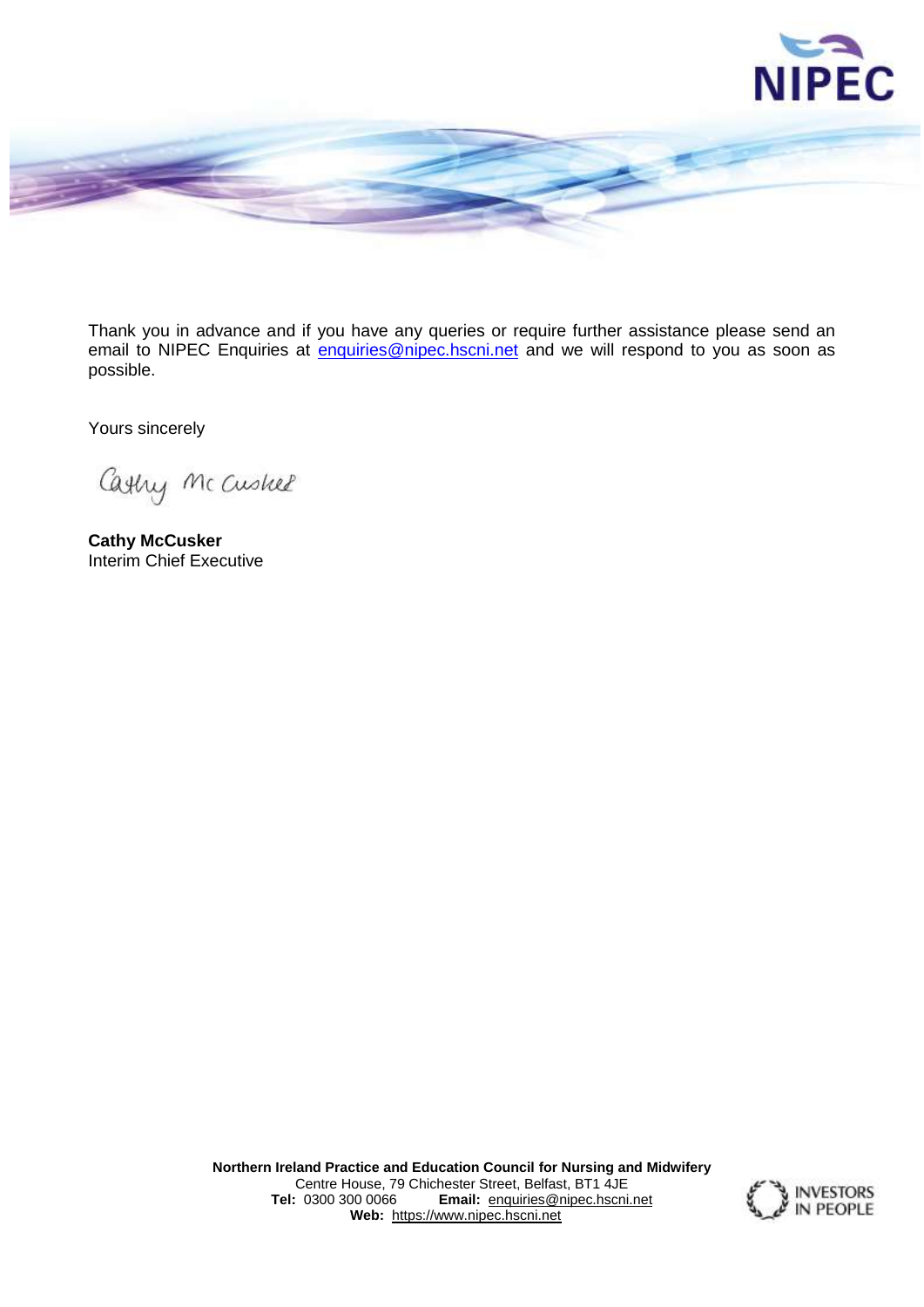



Thank you in advance and if you have any queries or require further assistance please send an email to NIPEC Enquiries at [enquiries@nipec.hscni.net](mailto:enquiries@nipec.hscni.net) and we will respond to you as soon as possible.

Yours sincerely

Cashy Mc Cushel

**Cathy McCusker** Interim Chief Executive